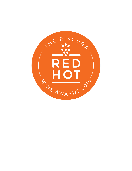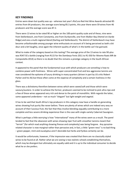#### **KEY FINDINGS**

Entries were down but quality was up – whereas last year's RisCura Red Hot Wine Awards attracted 85 entries from 64 producers, the average score being 85.3 points, this year there were 59 wines from 46 producers and the average score was 87.2.

There were 13 wines to be rated 90 or higher on the 100-point quality scale and of these, nine were from Stellenbosch, one from Constantia, one from Durbanville, one from Walker Bay (Hemel-en-Aarde Ridge) and one a multi-regional blend (Darling and Stellenbosch). The district of Stellenbosch may have become unfashionable among younger wine enthusiasts on account of it being perceived as both a bit dour and a bit haughty, once again the inherent quality of what's in the bottle can't be gainsaid.

What to make of the category based on this tasting? The average price of the 13 wines to rate 90-plus was R347.92 a bottle (ranging from R115 for the Dombeya Fenix 2011 to R1 050 for Mveme Raats MR de Compostella 2014) so there is no doubt that this remains a prestige category in the South African context.

It appeared to the panel that the fundamental issue with which producers are wrestling is how to combine power with freshness. Wines with super-concentrated fruit and less aggressive tannins are now considered the epitome of luxury drinking in many quarters (driven in part by US critic Robert Parker and his ilk) but these often come at the expense of complexity and a certain liveliness in the glass.

There was a dichotomy therefore between wines which were sweet/soft and those which were savoury/austere. In order to achieve the former, producers seemed to be inclined to pick ultra-ripe and a few of these wines appeared very rich and dense to the point of monolithic. With regards the latter, some appeared underdone – not so much "elegant" but light-weight and vegetal.

It has to be said that South Africa's top producers in this category now have a handle on generating wines showing fruit purity like never before. There are plenty of wines which are indeed very sexy on account of their luscious fruit, the fact that they involve blending arguably contributing to a more complete and less severe drinking experience than is the case with single-variety Cabernet Sauvignon.

What is perhaps a little worrying is how "international" many of the wines seem as a result. The panel tended to feel that the obsession with wines showing riper fruit with smoother tannins meant that "terroir" (for which read anything showing finesse and complexity) was being forgone. Any pyrazinerelated character is now marginal rather than pervasive and, in fact, a little "green-ness" is no bad thing – green pepper, mint and eucalyptus aren't desirable but herbs and fynbos certainly can be.

It would be unfortunate, however, if the impression was created that there are no classically styled wines to be found at all. Rather what we are seeing is two stylistic schools establishing themselves, which may be divergent but ultimately are equally valid and it is up to the individual consumer to decide what he or she prefers.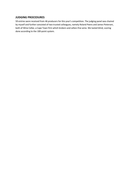## **JUDGING PROCEDURES**

59 entries were received from 46 producers for this year's competition. The judging panel was chaired by myself and further consisted of two trusted colleagues, namely Roland Peens and James Pietersen, both of Wine Cellar, a Cape Town firm which brokers and cellars fine wine. We tasted blind, scoring done according to the 100-point system.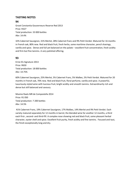# **TASTING NOTES**

#### **94**

Groot Constantia Gouverneurs Reserve Red 2013 Price: R327 Total production: 33 000 bottles Abv: 14.4%

32% Cabernet Sauvignon, 31% Merlot, 28% Cabernet franc and 9% Petit Verdot. Matured for 16 months in French oak, 80% new. Red and black fruit, fresh herbs, some maritime character, pencil shavings, vanilla and spice. Dense and full yet balanced on the palate – excellent fruit concentration, fresh acidity and firm but fine tannins. A very polished offering.

## **93**

Ernie Els Signature 2013 Price: R650 Total production: 18 000 bottles Abv: 14.75%

60% Cabernet Sauvignon, 25% Merlot, 5% Cabernet Franc, 5% Malbec, 5% Petit Verdot. Matured for 20 months in French oak, 70% new. Red and black fruit, floral perfume, vanilla and spice. A powerful, luxuriously-styled wine with luscious fruit, bright acidity and smooth tannins. Extraordinarily rich and dense but still balanced and savoury.

Mveme Raats MR de Compostella 2014 Price: R1 050 Total production: 7 200 bottles Abv: 14.5%

41% Cabernet Franc, 19% Cabernet Sauvignon, 17% Malbec, 14% Merlot and 9% Petit Verdot. Each variety matured separately for 12 months in barrel, the blended wine for another 12 months, a third each first-, second- and third-fill. A complex nose showing red and black fruit, some pleasant herbal character, oyster shell and spice. Excellent fruit purity, fresh acidity and fine tannins. Focused and taut, the finish exceptionally long and dry.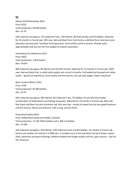#### **92**

Delaire Graff Botmaskop 2014 Price: R225 Total production: 60 000 bottles Abv: 14.7%

63% Cabernet Sauvignon, 17% Cabernet Franc, 10% Merlot, 8% Petit Verdot and 2% Malbec. Matured for 16 months in French oak, 50% new. Red and black fruit, fresh herbs, a definite floral note plus some attractive oak character. Excellent fruit expression, fresh acidity and fine tannins. Already quite approachable now but has the fruit weight to reward maturation.

Hartenberg The Mackenzie 2012 Price: R450 Total production: 3 814 bottles Abv: 14.65%

90% Cabernet Sauvignon, 8% Merlot and 2% Petit Verdot. Matured for 19 months in French oak, 100% new. Red and black fruit, a subtle leafy quality and a touch of vanilla. Full bodied but focused and rather stylish – good fruit expression, fresh acidity and fine tannins, the oak well judged. Super-long finish.

Spier Creative Block 5 2013 Price: R139 Total production: 81 000 bottles Abv: 14.7%

44% Cabernet Sauvignon, 38% Merlot, 8% Cabernet Franc, 7% Malbec 7% and 3% Petit Verdot (combination of Stellenbosch and Darling vineyards). Matured for 18 months in French oak, 60% new. Red, black and blue fruit plus attractive oak. Rich and ripe – plenty of sweet fruit but also good freshness and fine tannins. Dense and textured with a long, austere finish.

Vriesenhof Kallista 2010 Price: R240/750ml bottle and R500/1.5l bottle Total production: 12 244 750ml bottles and 1 208 1.5l bottles Abv: 14.18%

35% Cabernet Sauvignon, 33% Merlot, 24% Cabernet Franc and 8% Malbec. 24 months in French oak barrels and another 24 months in 4 000l vats. A complex nose of red and black fruit plus fynbos, oyster shell, earthiness and pencil shavings. Medium bodied with bright acidity and fine, spicy tannins – one for the classicists.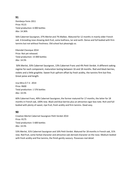#### **91**

Dombeya Fenix 2011 Price: R115 Total production: 6 000 bottles Abv: 14.36%

56% Cabernet Sauvignon, 37% Merlot and 7% Malbec. Matured for 12 months in mainly older French oak. A brooding nose showing dark fruit, some leafiness, tar and earth. Dense and full bodied with firm tannins but not without freshness. Old school but pleasingly so.

Eikendal Classique 2014 Price: Not yet released. Total production: 15 000 bottles Abv: 14.5%

50% Merlot, 33% Cabernet Sauvignon, 13% Cabernet Franc and 4% Petit Verdot. A different oaking regime for each component, maturation lasting between 16 and 18 months. Red and black berries, violets and a little graphite. Sweet fruit upfront offset by fresh acidity, the tannins firm but fine. Great poise and length.

Uva Mira O.T.V. 2014 Price: R600 Total production: 1 576 bottles Abv: 14.5%

60% Cabernet Franc, 40% Cabernet Sauvignon, the former matured for 17 months, the latter for 18 months in French oak, 100% new. Black and blue berries plus an attractive cigar-box note. Rich and full bodied with plenty of sweet, ripe fruit, fresh acidity and firm tannins. Dead sexy.

#### **90**

Creation Merlot Cabernet Sauvignon Petit Verdot 2014 Price: R175 Total production: 5 600 bottles Abv: 14.5%

53% Merlot, 31% Cabernet Sauvignon and 16% Petit Verdot. Matured for 18 months in French oak, 31% new. Red fruit, some herbal character and attractive oak-derived character on the nose. Medium bodied with fresh acidity and fine tannins, the finish gently savoury. Possesses real detail.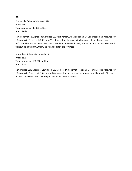#### **90**

Diemersdal Private Collection 2014 Price: R132 Total production: 48 000 bottles Abv: 14.46%

59% Cabernet Sauvignon, 32% Merlot, 6% Petit Verdot, 2% Malbec and 1% Cabernet Franc. Matured for 18 months in French oak, 20% new. Very fragrant on the nose with top notes of violets and fynbos before red berries and a touch of vanilla. Medium bodied with lively acidity and fine tannins. Flavourful without being weighty, this wine stands out for its prettiness.

Rustenberg John X Merriman 2013 Price: R170 Total production: 138 500 bottles Abv: 14.5%

52% Merlot, 38% Cabernet Sauvignon, 5% Malbec, 4% Cabernet Franc and 1% Petit Verdot. Matured for 20 months in French oak, 35% new. A little reduction on the nose but also red and black fruit. Rich and full but balanced – pure fruit, bright acidity and smooth tannins.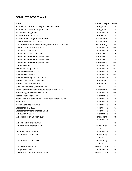# **COMPLETE SCORES A – Z**

| <b>Name</b>                                          | <b>Wine of Origin</b> | <b>Score</b> |
|------------------------------------------------------|-----------------------|--------------|
| Allee Bleue Cabernet Sauvignon Merlot 2013           | Banghoek              | 84           |
| Allee Bleue L'Amour Toujours 2012                    | Banghoek              | 87           |
| Bartinney Élevage 2010                               | Stellenbosch          | 84           |
| <b>Beaumont Ariane 2014</b>                          | <b>Bot River</b>      | 83           |
| Buitenverwachting Christine 2011                     | Constantia            | 87           |
| Constantia Glen Three 2013                           | Constantia            | 84           |
| Creation Merlot Cabernet Sauvignon Petit Verdot 2014 | <b>Walker Bay</b>     | 90           |
| Delaire Graff Botmaskop 2014                         | Stellenbosch          | 92           |
| Deux Frères Liberté 2012                             | Stellenbosch          | 86           |
| Diemersdal M.M. Louw 2014                            | Durbanville           | 86           |
| Diemersdal Private Collection 2011                   | Durbanville           | 87           |
| <b>Diemersdal Private Collection 2013</b>            | Durbanville           | 87           |
| Diemersdal Private Collection 2014                   | Durbanville           | 90           |
| Dombeya Fenix 2011                                   | Stellenbosch          | 91           |
| Eikendal Classique 2014                              | Stellenbosch          | 91           |
| Ernie Els Signature 2012                             | Stellenbosch          | 89           |
| Ernie Els Signature 2013                             | Stellenbosch          | 93           |
| Ernie Els Meritage Reserve 2014                      | Stellenbosch          | 85           |
| Gabriëlskloof Five Arches 2012                       | <b>Bot River</b>      | 85           |
| Gabriëlskloof The Blend 2013                         | <b>Bot River</b>      | 87           |
| Glen Carlou Grand Classique 2012                     | Paarl                 | 86           |
| Groot Constantia Gouverneurs Reserve Red 2013        | Constantia            | 94           |
| Hartenberg The Mackenzie 2012                        | Stellenbosch          | 92           |
| Holden Manz Big G 2012                               | Franschhoek           | 85           |
| Idiom Cabernet Sauvignon Merlot Petit Verdot 2010    | Stellenbosch          | 84           |
| <b>Idiom 2012</b>                                    | Stellenbosch          | 87           |
| Jordan Cobblers Hill 2013                            | Stellenbosch          | 88           |
| Kaapzicht Bin 3 2013                                 | Stellenbosch          | 86           |
| Kaapzicht Steytler Pentagon 2012                     | Stellenbosch          | 85           |
| La Bri Affinity 2013                                 | Franschhoek           | 87           |
| Laibach Fredrich Laibach 2014                        | Simonsberg-           | 88           |
|                                                      | Stellenbosch          |              |
| Laibach The Ladybird 2014                            |                       | 84           |
| La Vierge Nymphomane 2014                            | Cape South            | 87           |
|                                                      | Coast                 |              |
| Longridge Eliptika 2013                              | Stellenbosch          | 87           |
| Marianne Desirade 2012                               | Simonsberg-           | 87           |
|                                                      | Paarl                 |              |
| Marianne Desirade 2013                               | Simonsberg-           | 82           |
|                                                      | Paarl                 |              |
| Marvelous Blue 2014                                  | Western Cape          | 87           |
| Morgenster 2012                                      | Stellenbosch          | 88           |
| Mulderbosch Faithful Hound 2014                      | <b>Western Cape</b>   | 88           |